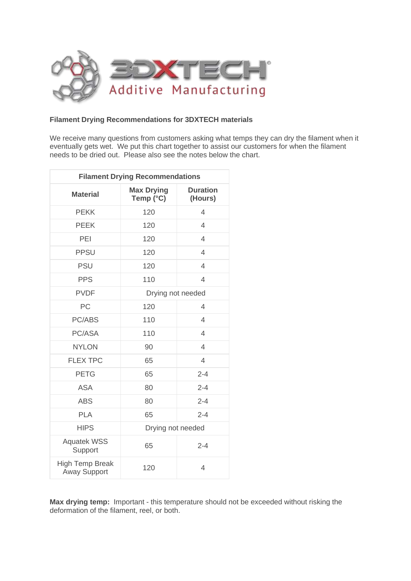

## **Filament Drying Recommendations for 3DXTECH materials**

We receive many questions from customers asking what temps they can dry the filament when it eventually gets wet. We put this chart together to assist our customers for when the filament needs to be dried out. Please also see the notes below the chart.

| <b>Filament Drying Recommendations</b>        |                                |                            |
|-----------------------------------------------|--------------------------------|----------------------------|
| <b>Material</b>                               | <b>Max Drying</b><br>Temp (°C) | <b>Duration</b><br>(Hours) |
| <b>PEKK</b>                                   | 120                            | $\overline{4}$             |
| <b>PEEK</b>                                   | 120                            | $\overline{4}$             |
| PEI                                           | 120                            | 4                          |
| <b>PPSU</b>                                   | 120                            | $\overline{4}$             |
| <b>PSU</b>                                    | 120                            | 4                          |
| <b>PPS</b>                                    | 110                            | $\overline{4}$             |
| <b>PVDF</b>                                   | Drying not needed              |                            |
| PC                                            | 120                            | $\overline{\mathcal{A}}$   |
| PC/ABS                                        | 110                            | $\overline{4}$             |
| PC/ASA                                        | 110                            | $\overline{4}$             |
| <b>NYLON</b>                                  | 90                             | $\overline{4}$             |
| <b>FLEX TPC</b>                               | 65                             | $\overline{4}$             |
| <b>PETG</b>                                   | 65                             | $2 - 4$                    |
| <b>ASA</b>                                    | 80                             | $2 - 4$                    |
| <b>ABS</b>                                    | 80                             | $2 - 4$                    |
| <b>PLA</b>                                    | 65                             | $2 - 4$                    |
| <b>HIPS</b>                                   | Drying not needed              |                            |
| <b>Aquatek WSS</b><br>Support                 | 65                             | $2 - 4$                    |
| <b>High Temp Break</b><br><b>Away Support</b> | 120                            | $\overline{4}$             |

**Max drying temp:** Important - this temperature should not be exceeded without risking the deformation of the filament, reel, or both.